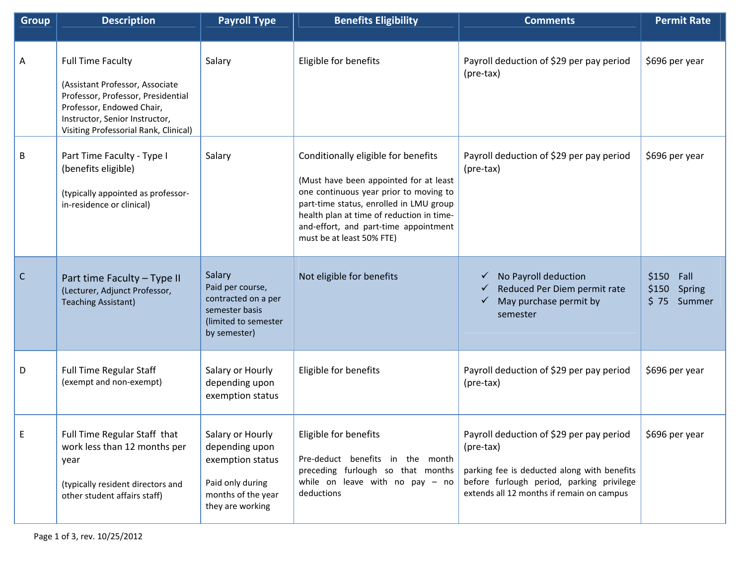| <b>Group</b> | <b>Description</b>                                                                                                                                                                                        | <b>Payroll Type</b>                                                                                                  | <b>Benefits Eligibility</b>                                                                                                                                                                                                                                                           | <b>Comments</b>                                                                                                                                                                                | <b>Permit Rate</b>                              |
|--------------|-----------------------------------------------------------------------------------------------------------------------------------------------------------------------------------------------------------|----------------------------------------------------------------------------------------------------------------------|---------------------------------------------------------------------------------------------------------------------------------------------------------------------------------------------------------------------------------------------------------------------------------------|------------------------------------------------------------------------------------------------------------------------------------------------------------------------------------------------|-------------------------------------------------|
| A            | <b>Full Time Faculty</b><br>(Assistant Professor, Associate<br>Professor, Professor, Presidential<br>Professor, Endowed Chair,<br>Instructor, Senior Instructor,<br>Visiting Professorial Rank, Clinical) | Salary                                                                                                               | Eligible for benefits                                                                                                                                                                                                                                                                 | Payroll deduction of \$29 per pay period<br>(pre-tax)                                                                                                                                          | \$696 per year                                  |
| В            | Part Time Faculty - Type I<br>(benefits eligible)<br>(typically appointed as professor-<br>in-residence or clinical)                                                                                      | Salary                                                                                                               | Conditionally eligible for benefits<br>(Must have been appointed for at least<br>one continuous year prior to moving to<br>part-time status, enrolled in LMU group<br>health plan at time of reduction in time-<br>and-effort, and part-time appointment<br>must be at least 50% FTE) | Payroll deduction of \$29 per pay period<br>(pre-tax)                                                                                                                                          | \$696 per year                                  |
| $\mathsf{C}$ | Part time Faculty - Type II<br>(Lecturer, Adjunct Professor,<br><b>Teaching Assistant)</b>                                                                                                                | Salary<br>Paid per course,<br>contracted on a per<br>semester basis<br>(limited to semester<br>by semester)          | Not eligible for benefits                                                                                                                                                                                                                                                             | No Payroll deduction<br>✓<br>Reduced Per Diem permit rate<br>May purchase permit by<br>semester                                                                                                | \$150<br>Fall<br>\$150<br>Spring<br>\$75 Summer |
| D            | Full Time Regular Staff<br>(exempt and non-exempt)                                                                                                                                                        | Salary or Hourly<br>depending upon<br>exemption status                                                               | Eligible for benefits                                                                                                                                                                                                                                                                 | Payroll deduction of \$29 per pay period<br>(pre-tax)                                                                                                                                          | \$696 per year                                  |
|              | Full Time Regular Staff that<br>work less than 12 months per<br>year<br>(typically resident directors and<br>other student affairs staff)                                                                 | Salary or Hourly<br>depending upon<br>exemption status<br>Paid only during<br>months of the year<br>they are working | Eligible for benefits<br>Pre-deduct benefits in the month<br>preceding furlough so that months<br>while on leave with no pay $-$ no<br>deductions                                                                                                                                     | Payroll deduction of \$29 per pay period<br>(pre-tax)<br>parking fee is deducted along with benefits<br>before furlough period, parking privilege<br>extends all 12 months if remain on campus | \$696 per year                                  |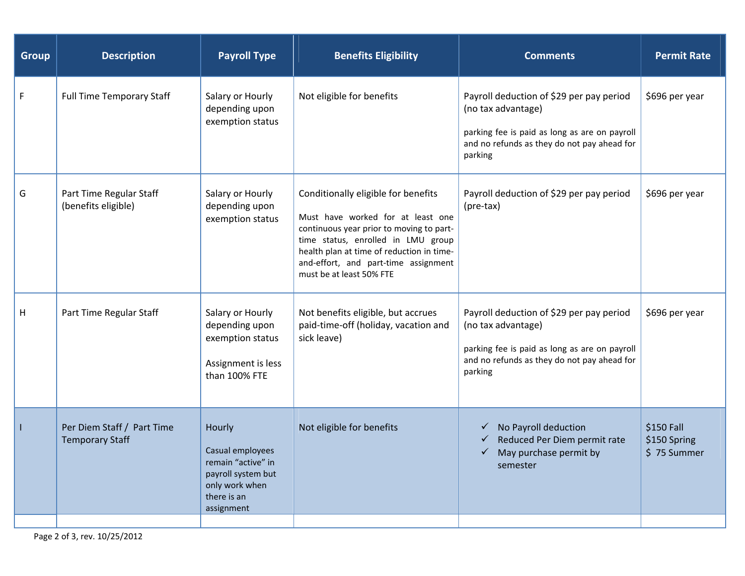| <b>Group</b>              | <b>Description</b>                                   | <b>Payroll Type</b>                                                                                                   | <b>Benefits Eligibility</b>                                                                                                                                                                                                                                                 | <b>Comments</b>                                                                                                                                                           | <b>Permit Rate</b>                        |
|---------------------------|------------------------------------------------------|-----------------------------------------------------------------------------------------------------------------------|-----------------------------------------------------------------------------------------------------------------------------------------------------------------------------------------------------------------------------------------------------------------------------|---------------------------------------------------------------------------------------------------------------------------------------------------------------------------|-------------------------------------------|
| $\mathsf F$               | <b>Full Time Temporary Staff</b>                     | Salary or Hourly<br>depending upon<br>exemption status                                                                | Not eligible for benefits                                                                                                                                                                                                                                                   | Payroll deduction of \$29 per pay period<br>(no tax advantage)<br>parking fee is paid as long as are on payroll<br>and no refunds as they do not pay ahead for<br>parking | \$696 per year                            |
| G                         | Part Time Regular Staff<br>(benefits eligible)       | Salary or Hourly<br>depending upon<br>exemption status                                                                | Conditionally eligible for benefits<br>Must have worked for at least one<br>continuous year prior to moving to part-<br>time status, enrolled in LMU group<br>health plan at time of reduction in time-<br>and-effort, and part-time assignment<br>must be at least 50% FTE | Payroll deduction of \$29 per pay period<br>(pre-tax)                                                                                                                     | \$696 per year                            |
| $\boldsymbol{\mathsf{H}}$ | Part Time Regular Staff                              | Salary or Hourly<br>depending upon<br>exemption status<br>Assignment is less<br>than 100% FTE                         | Not benefits eligible, but accrues<br>paid-time-off (holiday, vacation and<br>sick leave)                                                                                                                                                                                   | Payroll deduction of \$29 per pay period<br>(no tax advantage)<br>parking fee is paid as long as are on payroll<br>and no refunds as they do not pay ahead for<br>parking | \$696 per year                            |
| 1                         | Per Diem Staff / Part Time<br><b>Temporary Staff</b> | Hourly<br>Casual employees<br>remain "active" in<br>payroll system but<br>only work when<br>there is an<br>assignment | Not eligible for benefits                                                                                                                                                                                                                                                   | $\checkmark$ No Payroll deduction<br>Reduced Per Diem permit rate<br>✓<br>May purchase permit by<br>$\checkmark$<br>semester                                              | \$150 Fall<br>\$150 Spring<br>\$75 Summer |
|                           |                                                      |                                                                                                                       |                                                                                                                                                                                                                                                                             |                                                                                                                                                                           |                                           |

Page 2 of 3, rev. 10/25/2012